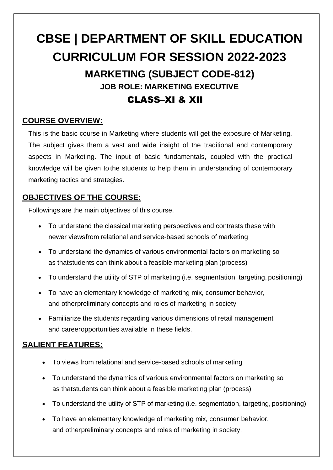# **CBSE | DEPARTMENT OF SKILL EDUCATION CURRICULUM FOR SESSION 2022-2023**

**MARKETING (SUBJECT CODE-812)**

**JOB ROLE: MARKETING EXECUTIVE**

## CLASS–XI & XII

## **COURSE OVERVIEW:**

This is the basic course in Marketing where students will get the exposure of Marketing. The subject gives them a vast and wide insight of the traditional and contemporary aspects in Marketing. The input of basic fundamentals, coupled with the practical knowledge will be given to the students to help them in understanding of contemporary marketing tactics and strategies.

## **OBJECTIVES OF THE COURSE:**

Followings are the main objectives of this course.

- To understand the classical marketing perspectives and contrasts these with newer viewsfrom relational and service-based schools of marketing
- To understand the dynamics of various environmental factors on marketing so as thatstudents can think about a feasible marketing plan (process)
- To understand the utility of STP of marketing (i.e. segmentation, targeting, positioning)
- To have an elementary knowledge of marketing mix, consumer behavior, and otherpreliminary concepts and roles of marketing in society
- Familiarize the students regarding various dimensions of retail management and careeropportunities available in these fields.

## **SALIENT FEATURES:**

- To views from relational and service-based schools of marketing
- To understand the dynamics of various environmental factors on marketing so as thatstudents can think about a feasible marketing plan (process)
- To understand the utility of STP of marketing (i.e. segmentation, targeting, positioning)
- To have an elementary knowledge of marketing mix, consumer behavior, and otherpreliminary concepts and roles of marketing in society.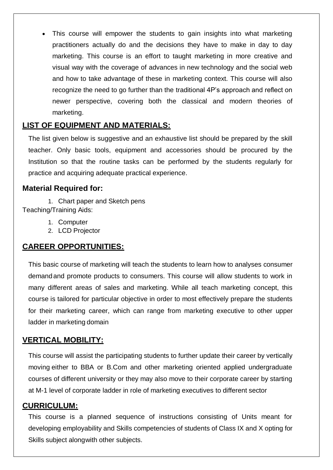• This course will empower the students to gain insights into what marketing practitioners actually do and the decisions they have to make in day to day marketing. This course is an effort to taught marketing in more creative and visual way with the coverage of advances in new technology and the social web and how to take advantage of these in marketing context. This course will also recognize the need to go further than the traditional 4P's approach and reflect on newer perspective, covering both the classical and modern theories of marketing.

### **LIST OF EQUIPMENT AND MATERIALS:**

The list given below is suggestive and an exhaustive list should be prepared by the skill teacher. Only basic tools, equipment and accessories should be procured by the Institution so that the routine tasks can be performed by the students regularly for practice and acquiring adequate practical experience.

## **Material Required for:**

1. Chart paper and Sketch pens Teaching/Training Aids:

- 1. Computer
- 2. LCD Projector

## **CAREER OPPORTUNITIES:**

This basic course of marketing will teach the students to learn how to analyses consumer demandand promote products to consumers. This course will allow students to work in many different areas of sales and marketing. While all teach marketing concept, this course is tailored for particular objective in order to most effectively prepare the students for their marketing career, which can range from marketing executive to other upper ladder in marketing domain

## **VERTICAL MOBILITY:**

This course will assist the participating students to further update their career by vertically moving either to BBA or B.Com and other marketing oriented applied undergraduate courses of different university or they may also move to their corporate career by starting at M-1 level of corporate ladder in role of marketing executives to different sector

## **CURRICULUM:**

This course is a planned sequence of instructions consisting of Units meant for developing employability and Skills competencies of students of Class IX and X opting for Skills subject alongwith other subjects.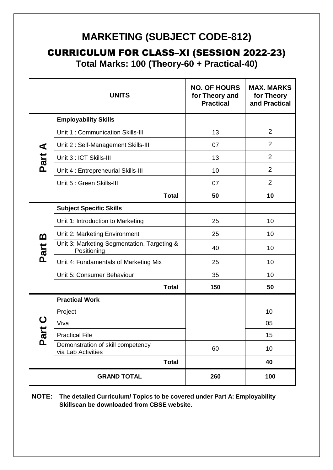## **MARKETING (SUBJECT CODE-812)**

CURRICULUM FOR CLASS–XI (SESSION 2022-23)

**Total Marks: 100 (Theory-60 + Practical-40)**

|          | <b>UNITS</b>                                               | <b>NO. OF HOURS</b><br>for Theory and<br><b>Practical</b> | <b>MAX. MARKS</b><br>for Theory<br>and Practical |
|----------|------------------------------------------------------------|-----------------------------------------------------------|--------------------------------------------------|
|          | <b>Employability Skills</b>                                |                                                           |                                                  |
|          | Unit 1: Communication Skills-III                           | 13                                                        | $\overline{2}$                                   |
|          | Unit 2: Self-Management Skills-III                         | 07                                                        | $\overline{2}$                                   |
| Part A   | Unit 3 : ICT Skills-III                                    | 13                                                        | $\overline{2}$                                   |
|          | Unit 4 : Entrepreneurial Skills-III                        | 10                                                        | $\overline{2}$                                   |
|          | Unit 5 : Green Skills-III                                  | 07                                                        | $\overline{2}$                                   |
|          | <b>Total</b>                                               | 50                                                        | 10                                               |
|          | <b>Subject Specific Skills</b>                             |                                                           |                                                  |
|          | Unit 1: Introduction to Marketing                          | 25                                                        | 10                                               |
| <u>ന</u> | Unit 2: Marketing Environment                              | 25                                                        | 10                                               |
| Part     | Unit 3: Marketing Segmentation, Targeting &<br>Positioning | 40                                                        | 10                                               |
|          | Unit 4: Fundamentals of Marketing Mix                      | 25                                                        | 10                                               |
|          | Unit 5: Consumer Behaviour                                 | 35                                                        | 10                                               |
|          | <b>Total</b>                                               | 150                                                       | 50                                               |
|          | <b>Practical Work</b>                                      |                                                           |                                                  |
|          | Project                                                    |                                                           | 10                                               |
| Par      | Viva                                                       |                                                           | 05                                               |
|          | <b>Practical File</b>                                      |                                                           | 15                                               |
|          | Demonstration of skill competency<br>via Lab Activities    | 60                                                        | 10                                               |
|          | <b>Total</b>                                               |                                                           | 40                                               |
|          | <b>GRAND TOTAL</b>                                         | 260                                                       | 100                                              |

**NOTE: The detailed Curriculum/ Topics to be covered under Part A: Employability Skillscan be downloaded from CBSE website**.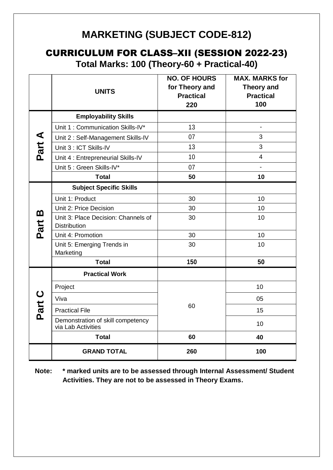## **MARKETING (SUBJECT CODE-812)**

## CURRICULUM FOR CLASS–XII (SESSION 2022-23)

**Total Marks: 100 (Theory-60 + Practical-40)**

|           | <b>UNITS</b>                                               | <b>NO. OF HOURS</b><br>for Theory and<br><b>Practical</b><br>220 | <b>MAX. MARKS for</b><br><b>Theory and</b><br><b>Practical</b><br>100 |
|-----------|------------------------------------------------------------|------------------------------------------------------------------|-----------------------------------------------------------------------|
|           | <b>Employability Skills</b>                                |                                                                  |                                                                       |
|           | Unit 1: Communication Skills-IV*                           | 13                                                               |                                                                       |
| Part A    | Unit 2: Self-Management Skills-IV                          | 07                                                               | 3                                                                     |
|           | Unit 3 : ICT Skills-IV                                     | 13                                                               | 3                                                                     |
|           | Unit 4 : Entrepreneurial Skills-IV                         | 10                                                               | $\overline{4}$                                                        |
|           | Unit 5 : Green Skills-IV*                                  | 07                                                               |                                                                       |
|           | <b>Total</b>                                               | 50                                                               | 10                                                                    |
|           | <b>Subject Specific Skills</b>                             |                                                                  |                                                                       |
|           | Unit 1: Product                                            | 30                                                               | 10                                                                    |
|           | Unit 2: Price Decision                                     | 30                                                               | 10                                                                    |
| m<br>Part | Unit 3: Place Decision: Channels of<br><b>Distribution</b> | 30                                                               | 10                                                                    |
|           | Unit 4: Promotion                                          | 30                                                               | 10 <sup>1</sup>                                                       |
|           | Unit 5: Emerging Trends in<br>Marketing                    | 30                                                               | 10                                                                    |
|           | <b>Total</b>                                               | 150                                                              | 50                                                                    |
|           | <b>Practical Work</b>                                      |                                                                  |                                                                       |
|           | Project                                                    |                                                                  | 10                                                                    |
|           | Viva                                                       | 60                                                               | 05                                                                    |
| Part C    | <b>Practical File</b>                                      |                                                                  | 15                                                                    |
|           | Demonstration of skill competency<br>via Lab Activities    |                                                                  | 10                                                                    |
|           | <b>Total</b>                                               | 60                                                               | 40                                                                    |
|           | <b>GRAND TOTAL</b>                                         | 260                                                              | 100                                                                   |

**Note: \* marked units are to be assessed through Internal Assessment/ Student Activities. They are not to be assessed in Theory Exams.**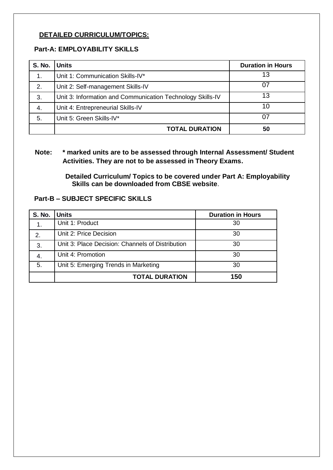#### **DETAILED CURRICULUM/TOPICS:**

#### **Part-A: EMPLOYABILITY SKILLS**

| <b>S. No.</b> | <b>Units</b>                                               | <b>Duration in Hours</b> |
|---------------|------------------------------------------------------------|--------------------------|
| 1.            | Unit 1: Communication Skills-IV*                           | 13                       |
| 2.            | Unit 2: Self-management Skills-IV                          | 07                       |
| 3.            | Unit 3: Information and Communication Technology Skills-IV | 13                       |
| 4.            | Unit 4: Entrepreneurial Skills-IV                          | 10                       |
| 5.            | Unit 5: Green Skills-IV*                                   | 07                       |
|               | <b>TOTAL DURATION</b>                                      | 50                       |

#### **Note: \* marked units are to be assessed through Internal Assessment/ Student Activities. They are not to be assessed in Theory Exams.**

**Detailed Curriculum/ Topics to be covered under Part A: Employability Skills can be downloaded from CBSE website**.

#### **Part-B – SUBJECT SPECIFIC SKILLS**

| <b>S. No.</b> | <b>Units</b>                                     | <b>Duration in Hours</b> |
|---------------|--------------------------------------------------|--------------------------|
| 1.            | Unit 1: Product                                  | 30                       |
| 2.            | Unit 2: Price Decision                           | 30                       |
| 3.            | Unit 3: Place Decision: Channels of Distribution | 30                       |
| 4.            | Unit 4: Promotion                                | 30                       |
| 5.            | Unit 5: Emerging Trends in Marketing             | 30                       |
|               | <b>TOTAL DURATION</b>                            | 150                      |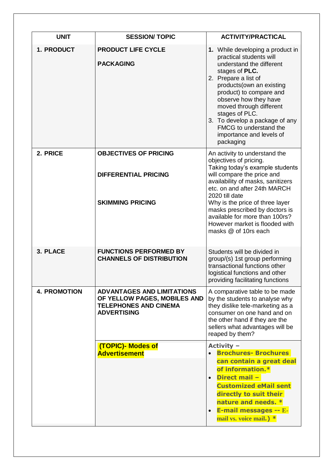| <b>UNIT</b>         | <b>SESSION/TOPIC</b>                                                                                                    | <b>ACTIVITY/PRACTICAL</b>                                                                                                                                                                                                                                                                                                                                            |  |
|---------------------|-------------------------------------------------------------------------------------------------------------------------|----------------------------------------------------------------------------------------------------------------------------------------------------------------------------------------------------------------------------------------------------------------------------------------------------------------------------------------------------------------------|--|
| 1. PRODUCT          | <b>PRODUCT LIFE CYCLE</b><br><b>PACKAGING</b>                                                                           | 1. While developing a product in<br>practical students will<br>understand the different<br>stages of PLC.<br>2. Prepare a list of<br>products (own an existing<br>product) to compare and<br>observe how they have<br>moved through different<br>stages of PLC.<br>3. To develop a package of any<br>FMCG to understand the<br>importance and levels of<br>packaging |  |
| 2. PRICE            | <b>OBJECTIVES OF PRICING</b><br><b>DIFFERENTIAL PRICING</b>                                                             | An activity to understand the<br>objectives of pricing.<br>Taking today's example students<br>will compare the price and                                                                                                                                                                                                                                             |  |
|                     | <b>SKIMMING PRICING</b>                                                                                                 | availability of masks, sanitizers<br>etc. on and after 24th MARCH<br>2020 till date<br>Why is the price of three layer<br>masks prescribed by doctors is<br>available for more than 100rs?<br>However market is flooded with<br>masks @ of 10rs each                                                                                                                 |  |
| 3. PLACE            | <b>FUNCTIONS PERFORMED BY</b><br><b>CHANNELS OF DISTRIBUTION</b>                                                        | Students will be divided in<br>group/(s) 1st group performing<br>transactional functions other<br>logistical functions and other<br>providing facilitating functions                                                                                                                                                                                                 |  |
| <b>4. PROMOTION</b> | <b>ADVANTAGES AND LIMITATIONS</b><br>OF YELLOW PAGES, MOBILES AND<br><b>TELEPHONES AND CINEMA</b><br><b>ADVERTISING</b> | A comparative table to be made<br>by the students to analyse why<br>they dislike tele-marketing as a<br>consumer on one hand and on<br>the other hand if they are the<br>sellers what advantages will be<br>reaped by them?                                                                                                                                          |  |
|                     | (TOPIC)- Modes of<br><b>Advertisement</b>                                                                               | Activity -<br><b>Brochures- Brochures</b><br>can contain a great deal<br>of information.*<br><b>Direct mail -</b><br><b>Customized eMail sent</b><br>directly to suit their<br>nature and needs. *<br><b>E-mail messages -- E-</b><br>mail vs. voice mail.) *                                                                                                        |  |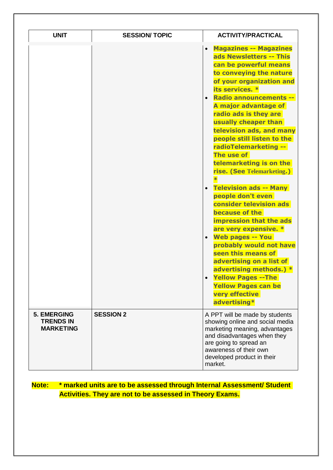| <b>UNIT</b>                                                | <b>SESSION/TOPIC</b> | <b>ACTIVITY/PRACTICAL</b>                                                                                                                                                                                                                                                                                                                                                                                                                                                                                                                                                                                                                                                                                                                                                                                          |  |
|------------------------------------------------------------|----------------------|--------------------------------------------------------------------------------------------------------------------------------------------------------------------------------------------------------------------------------------------------------------------------------------------------------------------------------------------------------------------------------------------------------------------------------------------------------------------------------------------------------------------------------------------------------------------------------------------------------------------------------------------------------------------------------------------------------------------------------------------------------------------------------------------------------------------|--|
|                                                            |                      | <b>Magazines -- Magazines</b><br>ads Newsletters -- This<br>can be powerful means<br>to conveying the nature<br>of your organization and<br>its services. *<br>• Radio announcements --<br>A major advantage of<br>radio ads is they are<br>usually cheaper than<br>television ads, and many<br>people still listen to the<br>radioTelemarketing --<br>The use of<br>telemarketing is on the<br>rise. (See Telemarketing.)<br><b>Television ads -- Many</b><br>people don't even<br>consider television ads<br>because of the<br>impression that the ads<br>are very expensive. *<br><b>Web pages -- You</b><br>probably would not have<br>seen this means of<br>advertising on a list of<br>advertising methods.) *<br><b>Yellow Pages -- The</b><br><b>Yellow Pages can be</b><br>very effective<br>advertising* |  |
| <b>5. EMERGING</b><br><b>TRENDS IN</b><br><b>MARKETING</b> | <b>SESSION 2</b>     | A PPT will be made by students<br>showing online and social media<br>marketing meaning, advantages<br>and disadvantages when they<br>are going to spread an<br>awareness of their own<br>developed product in their<br>market.                                                                                                                                                                                                                                                                                                                                                                                                                                                                                                                                                                                     |  |

## **Note: \* marked units are to be assessed through Internal Assessment/ Student Activities. They are not to be assessed in Theory Exams.**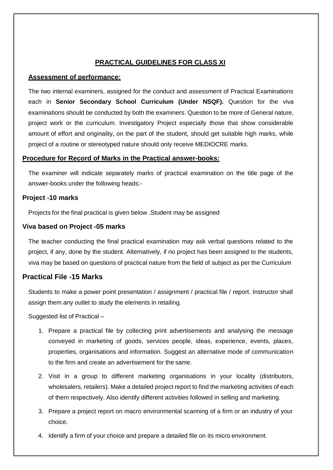#### **PRACTICAL GUIDELINES FOR CLASS XI**

#### **Assessment of performance:**

The two internal examiners, assigned for the conduct and assessment of Practical Examinations each in **Senior Secondary School Curriculum (Under NSQF).** Question for the viva examinations should be conducted by both the examiners. Question to be more of General nature, project work or the curriculum. Investigatory Project especially those that show considerable amount of effort and originality, on the part of the student, should get suitable high marks, while project of a routine or stereotyped nature should only receive MEDIOCRE marks.

#### **Procedure for Record of Marks in the Practical answer-books:**

The examiner will indicate separately marks of practical examination on the title page of the answer-books under the following heads:-

#### **Project -10 marks**

Projects for the final practical is given below .Student may be assigned

#### **Viva based on Project -05 marks**

The teacher conducting the final practical examination may ask verbal questions related to the project, if any, done by the student. Alternatively, if no project has been assigned to the students, viva may be based on questions of practical nature from the field of subject as per the Curriculum

#### **Practical File -15 Marks**

Students to make a power point presentation / assignment / practical file / report. Instructor shall assign them any outlet to study the elements in retailing.

Suggested list of Practical –

- 1. Prepare a practical file by collecting print advertisements and analysing the message conveyed in marketing of goods, services people, ideas, experience, events, places, properties, organisations and information. Suggest an alternative mode of communication to the firm and create an advertisement for the same.
- 2. Visit in a group to different marketing organisations in your locality (distributors, wholesalers, retailers). Make a detailed project report to find the marketing activities of each of them respectively. Also identify different activities followed in selling and marketing.
- 3. Prepare a project report on macro environmental scanning of a firm or an industry of your choice.
- 4. Identify a firm of your choice and prepare a detailed file on its micro environment.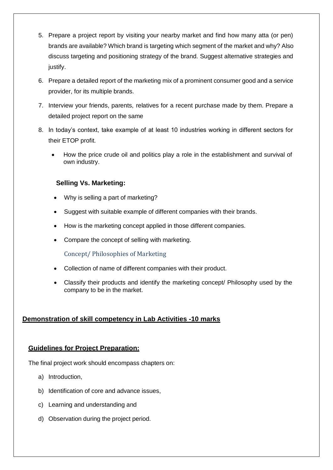- 5. Prepare a project report by visiting your nearby market and find how many atta (or pen) brands are available? Which brand is targeting which segment of the market and why? Also discuss targeting and positioning strategy of the brand. Suggest alternative strategies and justify.
- 6. Prepare a detailed report of the marketing mix of a prominent consumer good and a service provider, for its multiple brands.
- 7. Interview your friends, parents, relatives for a recent purchase made by them. Prepare a detailed project report on the same
- 8. In today's context, take example of at least 10 industries working in different sectors for their ETOP profit.
	- How the price crude oil and politics play a role in the establishment and survival of own industry.

#### **Selling Vs. Marketing:**

- Why is selling a part of marketing?
- Suggest with suitable example of different companies with their brands.
- How is the marketing concept applied in those different companies.
- Compare the concept of selling with marketing.

Concept/ Philosophies of Marketing

- Collection of name of different companies with their product.
- Classify their products and identify the marketing concept/ Philosophy used by the company to be in the market.

#### **Demonstration of skill competency in Lab Activities -10 marks**

#### **Guidelines for Project Preparation:**

The final project work should encompass chapters on:

- a) Introduction,
- b) Identification of core and advance issues,
- c) Learning and understanding and
- d) Observation during the project period.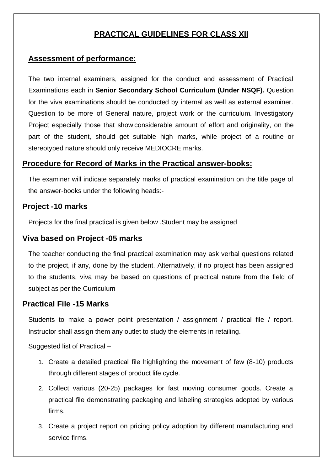## **PRACTICAL GUIDELINES FOR CLASS XII**

### **Assessment of performance:**

The two internal examiners, assigned for the conduct and assessment of Practical Examinations each in **Senior Secondary School Curriculum (Under NSQF).** Question for the viva examinations should be conducted by internal as well as external examiner. Question to be more of General nature, project work or the curriculum. Investigatory Project especially those that show considerable amount of effort and originality, on the part of the student, should get suitable high marks, while project of a routine or stereotyped nature should only receive MEDIOCRE marks.

#### **Procedure for Record of Marks in the Practical answer-books:**

The examiner will indicate separately marks of practical examination on the title page of the answer-books under the following heads:-

#### **Project -10 marks**

Projects for the final practical is given below .Student may be assigned

#### **Viva based on Project -05 marks**

The teacher conducting the final practical examination may ask verbal questions related to the project, if any, done by the student. Alternatively, if no project has been assigned to the students, viva may be based on questions of practical nature from the field of subject as per the Curriculum

#### **Practical File -15 Marks**

Students to make a power point presentation / assignment / practical file / report. Instructor shall assign them any outlet to study the elements in retailing.

Suggested list of Practical –

- 1. Create a detailed practical file highlighting the movement of few (8-10) products through different stages of product life cycle.
- 2. Collect various (20-25) packages for fast moving consumer goods. Create a practical file demonstrating packaging and labeling strategies adopted by various firms.
- 3. Create a project report on pricing policy adoption by different manufacturing and service firms.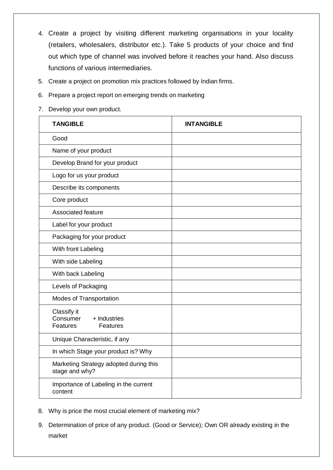- 4. Create a project by visiting different marketing organisations in your locality (retailers, wholesalers, distributor etc.). Take 5 products of your choice and find out which type of channel was involved before it reaches your hand. Also discuss functions of various intermediaries.
- 5. Create a project on promotion mix practices followed by Indian firms.
- 6. Prepare a project report on emerging trends on marketing
- 7. Develop your own product.

| <b>TANGIBLE</b>                                                        | <b>INTANGIBLE</b> |
|------------------------------------------------------------------------|-------------------|
| Good                                                                   |                   |
| Name of your product                                                   |                   |
| Develop Brand for your product                                         |                   |
| Logo for us your product                                               |                   |
| Describe its components                                                |                   |
| Core product                                                           |                   |
| <b>Associated feature</b>                                              |                   |
| Label for your product                                                 |                   |
| Packaging for your product                                             |                   |
| With front Labeling                                                    |                   |
| With side Labeling                                                     |                   |
| With back Labeling                                                     |                   |
| Levels of Packaging                                                    |                   |
| Modes of Transportation                                                |                   |
| Classify it<br>Consumer<br>+ Industries<br><b>Features</b><br>Features |                   |
| Unique Characteristic, if any                                          |                   |
| In which Stage your product is? Why                                    |                   |
| Marketing Strategy adopted during this<br>stage and why?               |                   |
| Importance of Labeling in the current<br>content                       |                   |

- 8. Why is price the most crucial element of marketing mix?
- 9. Determination of price of any product. (Good or Service); Own OR already existing in the market